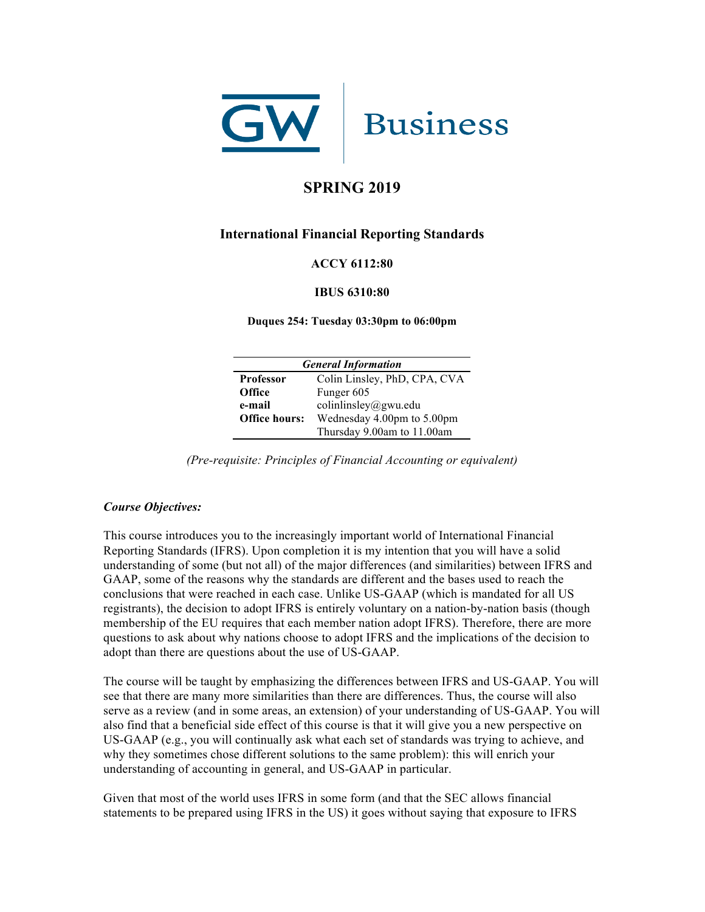

# **SPRING 2019**

# **International Financial Reporting Standards**

## **ACCY 6112:80**

#### **IBUS 6310:80**

**Duques 254: Tuesday 03:30pm to 06:00pm**

| <b>General Information</b> |                              |  |
|----------------------------|------------------------------|--|
| <b>Professor</b>           | Colin Linsley, PhD, CPA, CVA |  |
| <b>Office</b>              | Funger 605                   |  |
| e-mail                     | colinlinsley@gwu.edu         |  |
| <b>Office hours:</b>       | Wednesday 4.00pm to 5.00pm   |  |
|                            | Thursday 9.00am to 11.00am   |  |

*(Pre-requisite: Principles of Financial Accounting or equivalent)*

### *Course Objectives:*

This course introduces you to the increasingly important world of International Financial Reporting Standards (IFRS). Upon completion it is my intention that you will have a solid understanding of some (but not all) of the major differences (and similarities) between IFRS and GAAP, some of the reasons why the standards are different and the bases used to reach the conclusions that were reached in each case. Unlike US-GAAP (which is mandated for all US registrants), the decision to adopt IFRS is entirely voluntary on a nation-by-nation basis (though membership of the EU requires that each member nation adopt IFRS). Therefore, there are more questions to ask about why nations choose to adopt IFRS and the implications of the decision to adopt than there are questions about the use of US-GAAP.

The course will be taught by emphasizing the differences between IFRS and US-GAAP. You will see that there are many more similarities than there are differences. Thus, the course will also serve as a review (and in some areas, an extension) of your understanding of US-GAAP. You will also find that a beneficial side effect of this course is that it will give you a new perspective on US-GAAP (e.g., you will continually ask what each set of standards was trying to achieve, and why they sometimes chose different solutions to the same problem): this will enrich your understanding of accounting in general, and US-GAAP in particular.

Given that most of the world uses IFRS in some form (and that the SEC allows financial statements to be prepared using IFRS in the US) it goes without saying that exposure to IFRS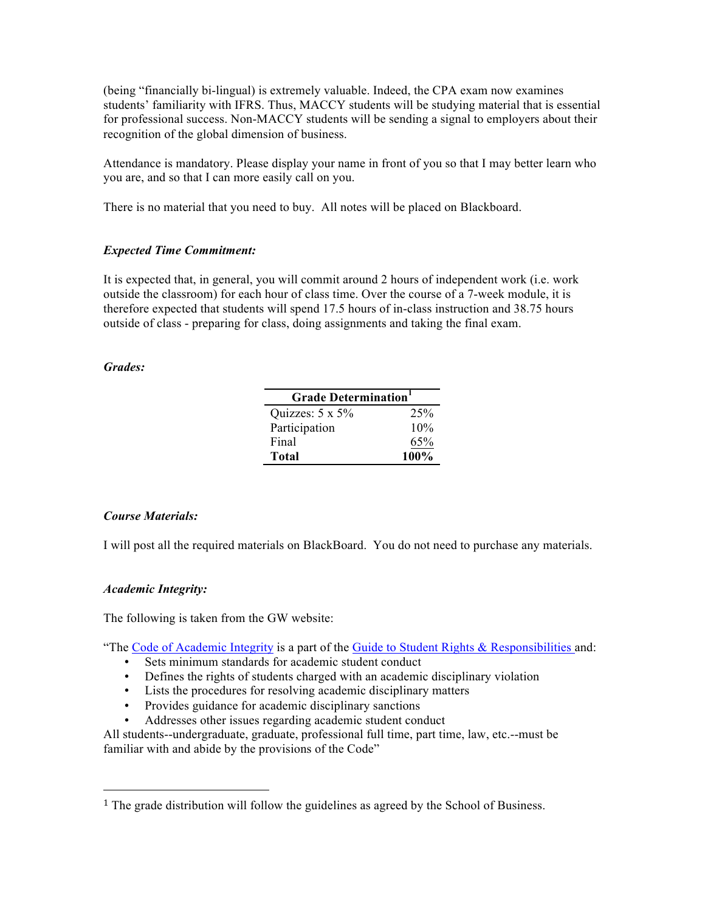(being "financially bi-lingual) is extremely valuable. Indeed, the CPA exam now examines students' familiarity with IFRS. Thus, MACCY students will be studying material that is essential for professional success. Non-MACCY students will be sending a signal to employers about their recognition of the global dimension of business.

Attendance is mandatory. Please display your name in front of you so that I may better learn who you are, and so that I can more easily call on you.

There is no material that you need to buy. All notes will be placed on Blackboard.

# *Expected Time Commitment:*

It is expected that, in general, you will commit around 2 hours of independent work (i.e. work outside the classroom) for each hour of class time. Over the course of a 7-week module, it is therefore expected that students will spend 17.5 hours of in-class instruction and 38.75 hours outside of class - preparing for class, doing assignments and taking the final exam.

## *Grades:*

| <b>Grade Determination</b> |      |  |
|----------------------------|------|--|
| Quizzes: $5 \times 5\%$    | 25%  |  |
| Participation              | 10%  |  |
| Final                      | 65%  |  |
| Total                      | 100% |  |

# *Course Materials:*

I will post all the required materials on BlackBoard. You do not need to purchase any materials.

### *Academic Integrity:*

The following is taken from the GW website:

 

"The Code of Academic Integrity is a part of the Guide to Student Rights & Responsibilities and:

- Sets minimum standards for academic student conduct
- Defines the rights of students charged with an academic disciplinary violation
- Lists the procedures for resolving academic disciplinary matters
- Provides guidance for academic disciplinary sanctions
- Addresses other issues regarding academic student conduct

All students--undergraduate, graduate, professional full time, part time, law, etc.--must be familiar with and abide by the provisions of the Code"

<sup>&</sup>lt;sup>1</sup> The grade distribution will follow the guidelines as agreed by the School of Business.